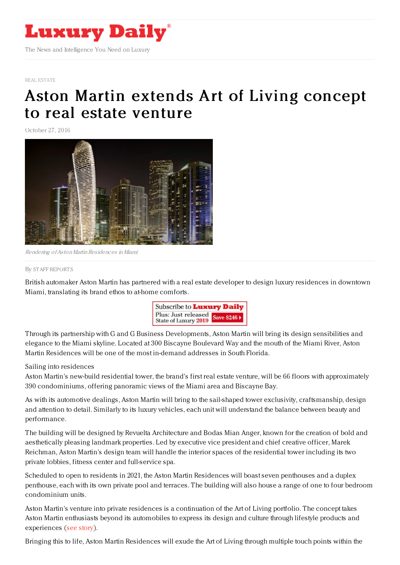

REAL [ESTATE](https://www.luxurydaily.com/category/sectors/real-estate/)

## Aston Martin extends Art of Living [concept](https://www.luxurydaily.com/aston-martin-extends-art-of-living-concept-to-real-estate-venture/) to real estate venture

October 27, 2016



Rendering of Aston Martin Residences in Miami

## By STAFF [REPORT](file:///author/staff-reports) S

British automaker Aston Martin has partnered with a real estate developer to design luxury residences in downtown Miami, translating its brand ethos to at-home comforts.



Through its partnership with G and G Business Developments, Aston Martin will bring its design sensibilities and elegance to the Miami skyline. Located at 300 Biscayne Boulevard Way and the mouth of the Miami River, Aston Martin Residences will be one of the most in-demand addresses in South Florida.

## Sailing into residences

Aston Martin's new-build residential tower, the brand's first real estate venture, will be 66 floors with approximately 390 condominiums, offering panoramic views of the Miami area and Biscayne Bay.

As with its automotive dealings, Aston Martin will bring to the sail-shaped tower exclusivity, craftsmanship, design and attention to detail. Similarly to its luxury vehicles, each unit will understand the balance between beauty and performance.

The building will be designed by Revuelta Architecture and Bodas Mian Anger, known for the creation of bold and aesthetically pleasing landmark properties. Led by executive vice president and chief creative officer, Marek Reichman, Aston Martin's design team will handle the interior spaces of the residential tower including its two private lobbies, fitness center and full-service spa.

Scheduled to open to residents in 2021, the Aston Martin Residences will boast seven penthouses and a duplex penthouse, each with its own private pool and terraces. The building will also house a range of one to four bedroom condominium units.

Aston Martin's venture into private residences is a continuation of the Art of Living portfolio. The concept takes Aston Martin enthusiasts beyond its automobiles to express its design and culture through lifestyle products and experiences (see [story](https://www.luxurydaily.com/aston-martin-moves-beyond-beautiful-cars-to-showcase-the-art-of-living/)).

Bringing this to life, Aston Martin Residences will exude the Art of Living through multiple touch points within the